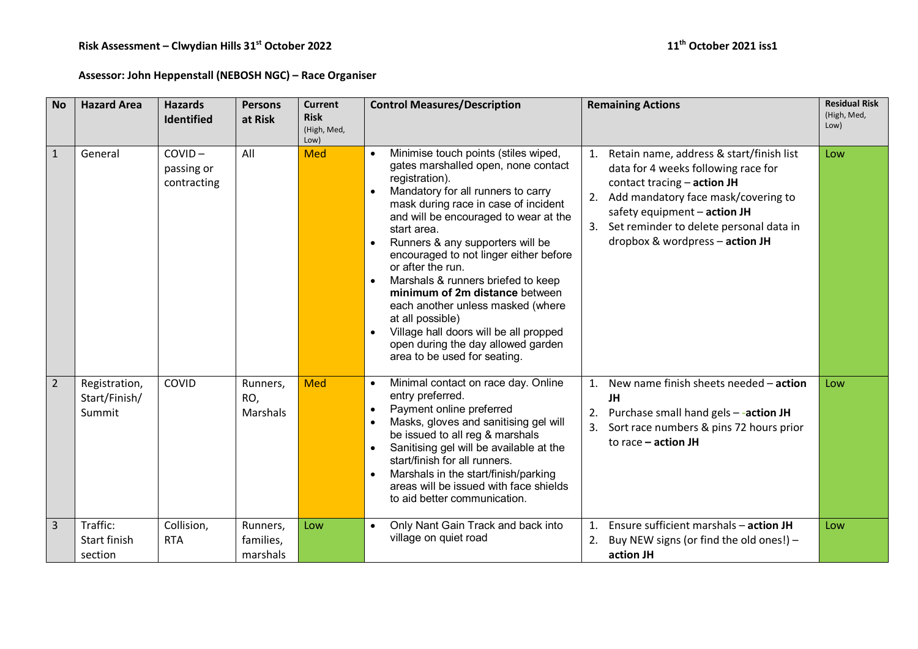**Assessor: John Heppenstall (NEBOSH NGC) – Race Organiser** 

| <b>No</b>      | <b>Hazard Area</b>                       | <b>Hazards</b><br><b>Identified</b>    | <b>Persons</b><br>at Risk         | <b>Current</b><br><b>Risk</b><br>(High, Med,<br>Low) | <b>Control Measures/Description</b>                                                                                                                                                                                                                                                                                                                                                                                                                                                                                                                                                                                                         | <b>Remaining Actions</b>                                                                                                                                                                                                                                                             | <b>Residual Risk</b><br>(High, Med,<br>Low) |
|----------------|------------------------------------------|----------------------------------------|-----------------------------------|------------------------------------------------------|---------------------------------------------------------------------------------------------------------------------------------------------------------------------------------------------------------------------------------------------------------------------------------------------------------------------------------------------------------------------------------------------------------------------------------------------------------------------------------------------------------------------------------------------------------------------------------------------------------------------------------------------|--------------------------------------------------------------------------------------------------------------------------------------------------------------------------------------------------------------------------------------------------------------------------------------|---------------------------------------------|
| $\mathbf{1}$   | General                                  | $COVID -$<br>passing or<br>contracting | All                               | <b>Med</b>                                           | Minimise touch points (stiles wiped,<br>$\bullet$<br>gates marshalled open, none contact<br>registration).<br>Mandatory for all runners to carry<br>$\bullet$<br>mask during race in case of incident<br>and will be encouraged to wear at the<br>start area.<br>Runners & any supporters will be<br>$\bullet$<br>encouraged to not linger either before<br>or after the run.<br>Marshals & runners briefed to keep<br>$\bullet$<br>minimum of 2m distance between<br>each another unless masked (where<br>at all possible)<br>Village hall doors will be all propped<br>open during the day allowed garden<br>area to be used for seating. | Retain name, address & start/finish list<br>1.<br>data for 4 weeks following race for<br>contact tracing $-$ action JH<br>Add mandatory face mask/covering to<br>2.<br>safety equipment - action JH<br>3. Set reminder to delete personal data in<br>dropbox & wordpress - action JH | Low                                         |
| $\overline{2}$ | Registration,<br>Start/Finish/<br>Summit | COVID                                  | Runners,<br>RO,<br>Marshals       | <b>Med</b>                                           | Minimal contact on race day. Online<br>$\bullet$<br>entry preferred.<br>Payment online preferred<br>$\bullet$<br>Masks, gloves and sanitising gel will<br>be issued to all reg & marshals<br>Sanitising gel will be available at the<br>start/finish for all runners.<br>Marshals in the start/finish/parking<br>$\bullet$<br>areas will be issued with face shields<br>to aid better communication.                                                                                                                                                                                                                                        | New name finish sheets needed - action<br>$\mathbf{1}$ .<br>JH<br>Purchase small hand gels -- action JH<br>2.<br>3.<br>Sort race numbers & pins 72 hours prior<br>to race $-$ action JH                                                                                              | Low                                         |
| 3              | Traffic:<br>Start finish<br>section      | Collision,<br><b>RTA</b>               | Runners,<br>families,<br>marshals | Low                                                  | Only Nant Gain Track and back into<br>$\bullet$<br>village on quiet road                                                                                                                                                                                                                                                                                                                                                                                                                                                                                                                                                                    | Ensure sufficient marshals - action JH<br>1.<br>2.<br>Buy NEW signs (or find the old ones!) -<br>action JH                                                                                                                                                                           | Low                                         |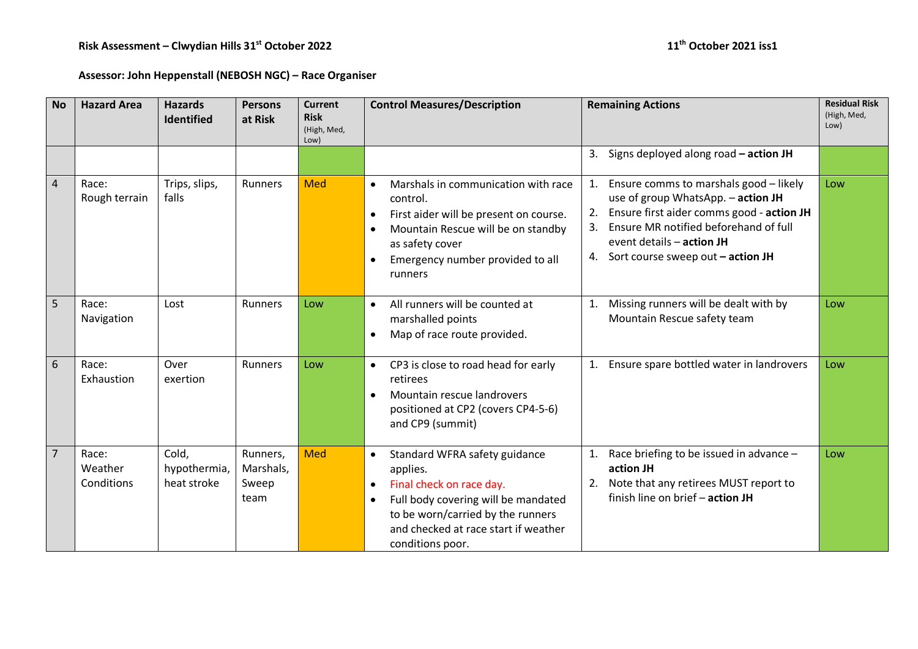## **Assessor: John Heppenstall (NEBOSH NGC) – Race Organiser**

| <b>No</b>      | <b>Hazard Area</b>             | <b>Hazards</b><br><b>Identified</b>  | <b>Persons</b><br>at Risk              | <b>Current</b><br><b>Risk</b><br>(High, Med,<br>Low) | <b>Control Measures/Description</b>                                                                                                                                                                                                     | <b>Remaining Actions</b>                                                                                                                                                                                                                                    | <b>Residual Risk</b><br>(High, Med,<br>Low) |
|----------------|--------------------------------|--------------------------------------|----------------------------------------|------------------------------------------------------|-----------------------------------------------------------------------------------------------------------------------------------------------------------------------------------------------------------------------------------------|-------------------------------------------------------------------------------------------------------------------------------------------------------------------------------------------------------------------------------------------------------------|---------------------------------------------|
|                |                                |                                      |                                        |                                                      |                                                                                                                                                                                                                                         | Signs deployed along road - action JH<br>3.                                                                                                                                                                                                                 |                                             |
| $\overline{4}$ | Race:<br>Rough terrain         | Trips, slips,<br>falls               | Runners                                | <b>Med</b>                                           | Marshals in communication with race<br>$\bullet$<br>control.<br>First aider will be present on course.<br>$\bullet$<br>Mountain Rescue will be on standby<br>as safety cover<br>Emergency number provided to all<br>runners             | Ensure comms to marshals good - likely<br>1.<br>use of group WhatsApp. - action JH<br>Ensure first aider comms good - action JH<br>2.<br>Ensure MR notified beforehand of full<br>3.<br>event details - action JH<br>4. Sort course sweep out $-$ action JH | Low                                         |
| 5              | Race:<br>Navigation            | Lost                                 | Runners                                | Low                                                  | All runners will be counted at<br>$\bullet$<br>marshalled points<br>Map of race route provided.<br>$\bullet$                                                                                                                            | Missing runners will be dealt with by<br>1.<br>Mountain Rescue safety team                                                                                                                                                                                  | Low                                         |
| 6              | Race:<br>Exhaustion            | Over<br>exertion                     | Runners                                | Low                                                  | CP3 is close to road head for early<br>$\bullet$<br>retirees<br>Mountain rescue landrovers<br>positioned at CP2 (covers CP4-5-6)<br>and CP9 (summit)                                                                                    | Ensure spare bottled water in landrovers<br>1.                                                                                                                                                                                                              | Low                                         |
| $\overline{7}$ | Race:<br>Weather<br>Conditions | Cold,<br>hypothermia,<br>heat stroke | Runners,<br>Marshals,<br>Sweep<br>team | <b>Med</b>                                           | Standard WFRA safety guidance<br>$\bullet$<br>applies.<br>Final check on race day.<br>$\bullet$<br>Full body covering will be mandated<br>to be worn/carried by the runners<br>and checked at race start if weather<br>conditions poor. | Race briefing to be issued in advance -<br>1.<br>action JH<br>Note that any retirees MUST report to<br>2.<br>finish line on brief - action JH                                                                                                               | Low                                         |